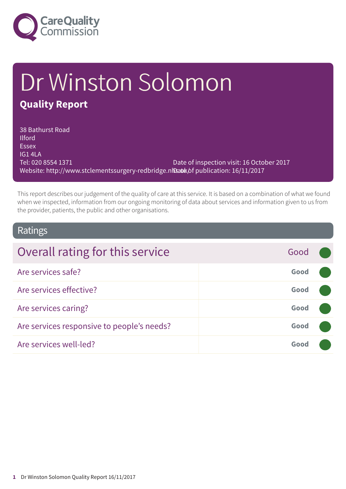

# Dr Winston Solomon **Quality Report**

38 Bathurst Road **Ilford** Essex IG1 4LA Tel: 020 8554 1371 Website: http://www.stclementssurgery-redbridge.nhbatkhf publication: 16/11/2017 Date of inspection visit: 16 October 2017

This report describes our judgement of the quality of care at this service. It is based on a combination of what we found when we inspected, information from our ongoing monitoring of data about services and information given to us from the provider, patients, the public and other organisations.

### Ratings

| Overall rating for this service            | Good |  |
|--------------------------------------------|------|--|
| Are services safe?                         | Good |  |
| Are services effective?                    | Good |  |
| Are services caring?                       | Good |  |
| Are services responsive to people's needs? | Good |  |
| Are services well-led?                     | Good |  |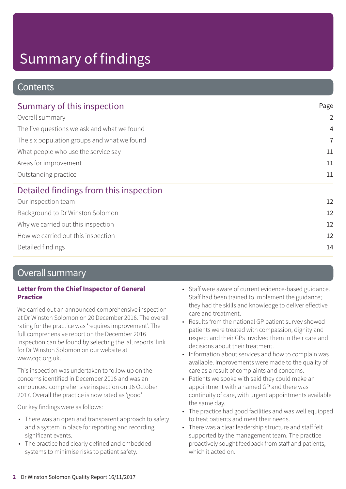### **Contents**

| Page           |
|----------------|
| $\overline{2}$ |
| $\overline{4}$ |
| $\overline{7}$ |
| 11             |
| 11             |
| 11             |
|                |
| 12             |
| 12             |
| 12             |
| 12             |
|                |

Detailed findings 14

### Overall summary

### **Letter from the Chief Inspector of General Practice**

We carried out an announced comprehensive inspection at Dr Winston Solomon on 20 December 2016. The overall rating for the practice was 'requires improvement'. The full comprehensive report on the December 2016 inspection can be found by selecting the 'all reports' link for Dr Winston Solomon on our website at www.cqc.org.uk.

This inspection was undertaken to follow up on the concerns identified in December 2016 and was an announced comprehensive inspection on 16 October 2017. Overall the practice is now rated as 'good'.

Our key findings were as follows:

- There was an open and transparent approach to safety and a system in place for reporting and recording significant events.
- The practice had clearly defined and embedded systems to minimise risks to patient safety.
- Staff were aware of current evidence-based guidance. Staff had been trained to implement the guidance; they had the skills and knowledge to deliver effective care and treatment.
- Results from the national GP patient survey showed patients were treated with compassion, dignity and respect and their GPs involved them in their care and decisions about their treatment.
- Information about services and how to complain was available. Improvements were made to the quality of care as a result of complaints and concerns.
- Patients we spoke with said they could make an appointment with a named GP and there was continuity of care, with urgent appointments available the same day.
- The practice had good facilities and was well equipped to treat patients and meet their needs.
- There was a clear leadership structure and staff felt supported by the management team. The practice proactively sought feedback from staff and patients, which it acted on.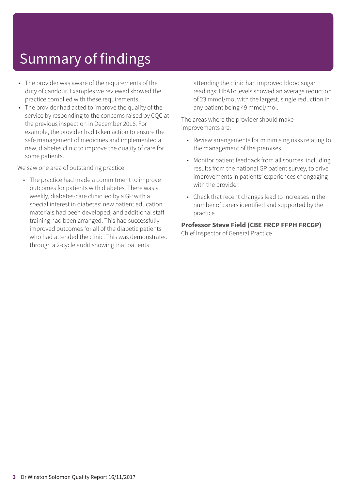- The provider was aware of the requirements of the duty of candour. Examples we reviewed showed the practice complied with these requirements.
- The provider had acted to improve the quality of the service by responding to the concerns raised by CQC at the previous inspection in December 2016. For example, the provider had taken action to ensure the safe management of medicines and implemented a new, diabetes clinic to improve the quality of care for some patients.

We saw one area of outstanding practice:

• The practice had made a commitment to improve outcomes for patients with diabetes. There was a weekly, diabetes-care clinic led by a GP with a special interest in diabetes; new patient education materials had been developed, and additional staff training had been arranged. This had successfully improved outcomes for all of the diabetic patients who had attended the clinic. This was demonstrated through a 2-cycle audit showing that patients

attending the clinic had improved blood sugar readings; HbA1c levels showed an average reduction of 23 mmol/mol with the largest, single reduction in any patient being 49 mmol/mol.

The areas where the provider should make improvements are:

- Review arrangements for minimising risks relating to the management of the premises.
- Monitor patient feedback from all sources, including results from the national GP patient survey, to drive improvements in patients' experiences of engaging with the provider.
- Check that recent changes lead to increases in the number of carers identified and supported by the practice

### **Professor Steve Field (CBE FRCP FFPH FRCGP)**

Chief Inspector of General Practice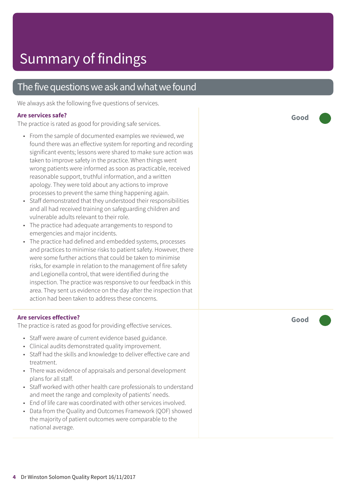### The five questions we ask and what we found

We always ask the following five questions of services.

### **Are services safe?**

The practice is rated as good for providing safe services.

- From the sample of documented examples we reviewed, we found there was an effective system for reporting and recording significant events; lessons were shared to make sure action was taken to improve safety in the practice. When things went wrong patients were informed as soon as practicable, received reasonable support, truthful information, and a written apology. They were told about any actions to improve processes to prevent the same thing happening again.
- Staff demonstrated that they understood their responsibilities and all had received training on safeguarding children and vulnerable adults relevant to their role.
- The practice had adequate arrangements to respond to emergencies and major incidents.
- The practice had defined and embedded systems, processes and practices to minimise risks to patient safety. However, there were some further actions that could be taken to minimise risks, for example in relation to the management of fire safety and Legionella control, that were identified during the inspection. The practice was responsive to our feedback in this area. They sent us evidence on the day after the inspection that action had been taken to address these concerns.

### **Are services effective?**

The practice is rated as good for providing effective services.

- Staff were aware of current evidence based guidance.
- Clinical audits demonstrated quality improvement.
- Staff had the skills and knowledge to deliver effective care and treatment.
- There was evidence of appraisals and personal development plans for all staff.
- Staff worked with other health care professionals to understand and meet the range and complexity of patients' needs.
- End of life care was coordinated with other services involved.
- Data from the Quality and Outcomes Framework (QOF) showed the majority of patient outcomes were comparable to the national average.

**Good –––**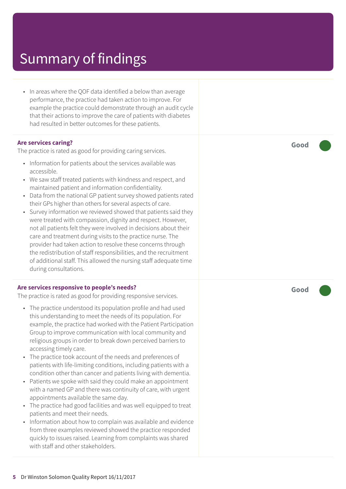• In areas where the QOF data identified a below than average performance, the practice had taken action to improve. For example the practice could demonstrate through an audit cycle that their actions to improve the care of patients with diabetes had resulted in better outcomes for these patients.

#### **Are services caring?**

The practice is rated as good for providing caring services.

- Information for patients about the services available was accessible.
- We saw staff treated patients with kindness and respect, and maintained patient and information confidentiality.
- Data from the national GP patient survey showed patients rated their GPs higher than others for several aspects of care.
- Survey information we reviewed showed that patients said they were treated with compassion, dignity and respect. However, not all patients felt they were involved in decisions about their care and treatment during visits to the practice nurse. The provider had taken action to resolve these concerns through the redistribution of staff responsibilities, and the recruitment of additional staff. This allowed the nursing staff adequate time during consultations.

#### **Are services responsive to people's needs?**

The practice is rated as good for providing responsive services.

- The practice understood its population profile and had used this understanding to meet the needs of its population. For example, the practice had worked with the Patient Participation Group to improve communication with local community and religious groups in order to break down perceived barriers to accessing timely care.
- The practice took account of the needs and preferences of patients with life-limiting conditions, including patients with a condition other than cancer and patients living with dementia.
- Patients we spoke with said they could make an appointment with a named GP and there was continuity of care, with urgent appointments available the same day.
- The practice had good facilities and was well equipped to treat patients and meet their needs.
- Information about how to complain was available and evidence from three examples reviewed showed the practice responded quickly to issues raised. Learning from complaints was shared with staff and other stakeholders.

**Good –––**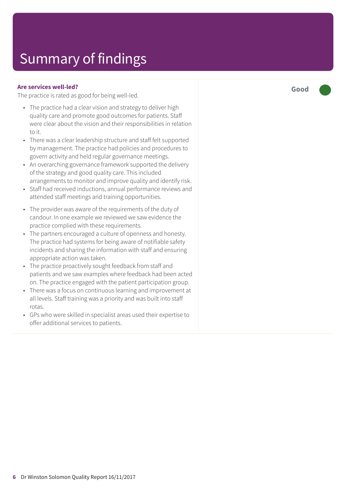#### **Are services well-led?**

The practice is rated as good for being well-led.

- The practice had a clear vision and strategy to deliver high quality care and promote good outcomes for patients. Staff were clear about the vision and their responsibilities in relation to it.
- There was a clear leadership structure and staff felt supported by management. The practice had policies and procedures to govern activity and held regular governance meetings.
- An overarching governance framework supported the delivery of the strategy and good quality care. This included arrangements to monitor and improve quality and identify risk.
- Staff had received inductions, annual performance reviews and attended staff meetings and training opportunities.
- The provider was aware of the requirements of the duty of candour. In one example we reviewed we saw evidence the practice complied with these requirements.
- The partners encouraged a culture of openness and honesty. The practice had systems for being aware of notifiable safety incidents and sharing the information with staff and ensuring appropriate action was taken.
- The practice proactively sought feedback from staff and patients and we saw examples where feedback had been acted on. The practice engaged with the patient participation group.
- There was a focus on continuous learning and improvement at all levels. Staff training was a priority and was built into staff rotas.
- GPs who were skilled in specialist areas used their expertise to offer additional services to patients.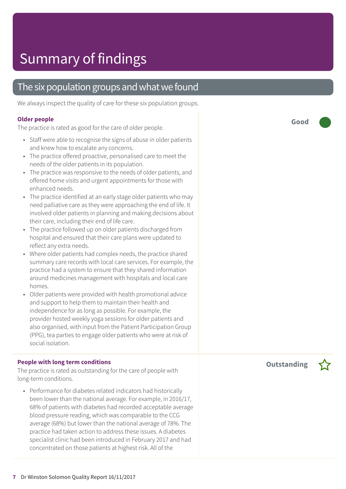### The six population groups and what we found

We always inspect the quality of care for these six population groups.

#### **Older people**

The practice is rated as good for the care of older people.

- Staff were able to recognise the signs of abuse in older patients and knew how to escalate any concerns.
- The practice offered proactive, personalised care to meet the needs of the older patients in its population.
- The practice was responsive to the needs of older patients, and offered home visits and urgent appointments for those with enhanced needs.
- The practice identified at an early stage older patients who may need palliative care as they were approaching the end of life. It involved older patients in planning and making decisions about their care, including their end of life care.
- The practice followed up on older patients discharged from hospital and ensured that their care plans were updated to reflect any extra needs.
- Where older patients had complex needs, the practice shared summary care records with local care services. For example, the practice had a system to ensure that they shared information around medicines management with hospitals and local care homes.
- Older patients were provided with health promotional advice and support to help them to maintain their health and independence for as long as possible. For example, the provider hosted weekly yoga sessions for older patients and also organised, with input from the Patient Participation Group (PPG), tea parties to engage older patients who were at risk of social isolation.

#### **People with long term conditions**

The practice is rated as outstanding for the care of people with long-term conditions.

• Performance for diabetes related indicators had historically been lower than the national average. For example, in 2016/17, 68% of patients with diabetes had recorded acceptable average blood pressure reading, which was comparable to the CCG average (68%) but lower than the national average of 78%. The practice had taken action to address these issues. A diabetes specialist clinic had been introduced in February 2017 and had concentrated on those patients at highest risk. All of the

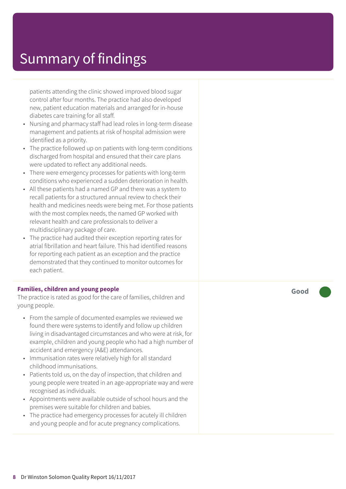patients attending the clinic showed improved blood sugar control after four months. The practice had also developed new, patient education materials and arranged for in-house diabetes care training for all staff.

- Nursing and pharmacy staff had lead roles in long-term disease management and patients at risk of hospital admission were identified as a priority.
- The practice followed up on patients with long-term conditions discharged from hospital and ensured that their care plans were updated to reflect any additional needs.
- There were emergency processes for patients with long-term conditions who experienced a sudden deterioration in health.
- All these patients had a named GP and there was a system to recall patients for a structured annual review to check their health and medicines needs were being met. For those patients with the most complex needs, the named GP worked with relevant health and care professionals to deliver a multidisciplinary package of care.
- The practice had audited their exception reporting rates for atrial fibrillation and heart failure. This had identified reasons for reporting each patient as an exception and the practice demonstrated that they continued to monitor outcomes for each patient.

#### **Families, children and young people**

The practice is rated as good for the care of families, children and young people.

- From the sample of documented examples we reviewed we found there were systems to identify and follow up children living in disadvantaged circumstances and who were at risk, for example, children and young people who had a high number of accident and emergency (A&E) attendances.
- Immunisation rates were relatively high for all standard childhood immunisations.
- Patients told us, on the day of inspection, that children and young people were treated in an age-appropriate way and were recognised as individuals.
- Appointments were available outside of school hours and the premises were suitable for children and babies.
- The practice had emergency processes for acutely ill children and young people and for acute pregnancy complications.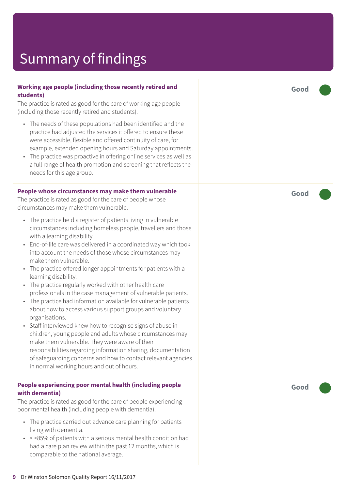#### **Working age people (including those recently retired and students)**

The practice is rated as good for the care of working age people (including those recently retired and students).

- The needs of these populations had been identified and the practice had adjusted the services it offered to ensure these were accessible, flexible and offered continuity of care, for example, extended opening hours and Saturday appointments.
- The practice was proactive in offering online services as well as a full range of health promotion and screening that reflects the needs for this age group.

#### **People whose circumstances may make them vulnerable**

The practice is rated as good for the care of people whose circumstances may make them vulnerable.

- The practice held a register of patients living in vulnerable circumstances including homeless people, travellers and those with a learning disability.
- End-of-life care was delivered in a coordinated way which took into account the needs of those whose circumstances may make them vulnerable.
- The practice offered longer appointments for patients with a learning disability.
- The practice regularly worked with other health care professionals in the case management of vulnerable patients.
- The practice had information available for vulnerable patients about how to access various support groups and voluntary organisations.
- Staff interviewed knew how to recognise signs of abuse in children, young people and adults whose circumstances may make them vulnerable. They were aware of their responsibilities regarding information sharing, documentation of safeguarding concerns and how to contact relevant agencies in normal working hours and out of hours.

#### **People experiencing poor mental health (including people with dementia)**

The practice is rated as good for the care of people experiencing poor mental health (including people with dementia).

- The practice carried out advance care planning for patients living with dementia.
- < >85% of patients with a serious mental health condition had had a care plan review within the past 12 months, which is comparable to the national average.

**Good –––**

**Good –––**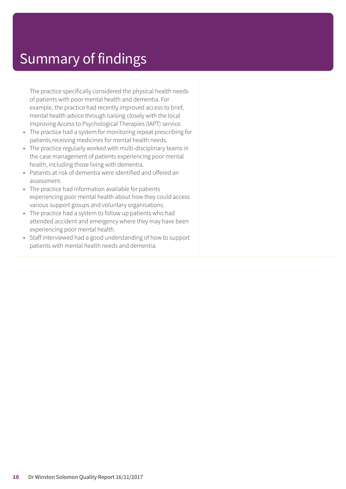The practice specifically considered the physical health needs of patients with poor mental health and dementia. For example, the practice had recently improved access to brief, mental health advice through liaising closely with the local Improving Access to Psychological Therapies (IAPT) service.

- The practice had a system for monitoring repeat prescribing for patients receiving medicines for mental health needs.
- The practice regularly worked with multi-disciplinary teams in the case management of patients experiencing poor mental health, including those living with dementia.
- Patients at risk of dementia were identified and offered an assessment.
- The practice had information available for patients experiencing poor mental health about how they could access various support groups and voluntary organisations.
- The practice had a system to follow up patients who had attended accident and emergency where they may have been experiencing poor mental health.
- Staff interviewed had a good understanding of how to support patients with mental health needs and dementia.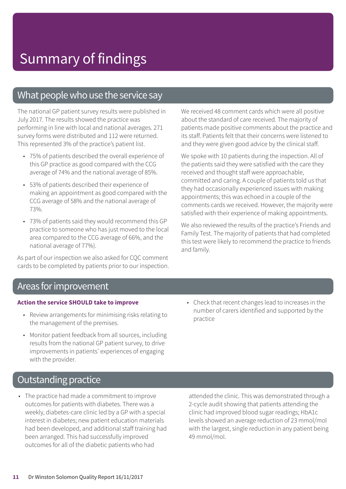### What people who use the service say

The national GP patient survey results were published in July 2017. The results showed the practice was performing in line with local and national averages. 271 survey forms were distributed and 112 were returned. This represented 3% of the practice's patient list.

- 75% of patients described the overall experience of this GP practice as good compared with the CCG average of 74% and the national average of 85%.
- 53% of patients described their experience of making an appointment as good compared with the CCG average of 58% and the national average of 73%.
- 73% of patients said they would recommend this GP practice to someone who has just moved to the local area compared to the CCG average of 66%, and the national average of 77%).

As part of our inspection we also asked for CQC comment cards to be completed by patients prior to our inspection. We received 48 comment cards which were all positive about the standard of care received. The majority of patients made positive comments about the practice and its staff. Patients felt that their concerns were listened to and they were given good advice by the clinical staff.

We spoke with 10 patients during the inspection. All of the patients said they were satisfied with the care they received and thought staff were approachable, committed and caring. A couple of patients told us that they had occasionally experienced issues with making appointments; this was echoed in a couple of the comments cards we received. However, the majority were satisfied with their experience of making appointments.

We also reviewed the results of the practice's Friends and Family Test. The majority of patients that had completed this test were likely to recommend the practice to friends and family.

### Areas for improvement

#### **Action the service SHOULD take to improve**

- Review arrangements for minimising risks relating to the management of the premises.
- Monitor patient feedback from all sources, including results from the national GP patient survey, to drive improvements in patients' experiences of engaging with the provider.
- Check that recent changes lead to increases in the number of carers identified and supported by the practice

### **Outstanding practice**

• The practice had made a commitment to improve outcomes for patients with diabetes. There was a weekly, diabetes-care clinic led by a GP with a special interest in diabetes; new patient education materials had been developed, and additional staff training had been arranged. This had successfully improved outcomes for all of the diabetic patients who had

attended the clinic. This was demonstrated through a 2-cycle audit showing that patients attending the clinic had improved blood sugar readings; HbA1c levels showed an average reduction of 23 mmol/mol with the largest, single reduction in any patient being 49 mmol/mol.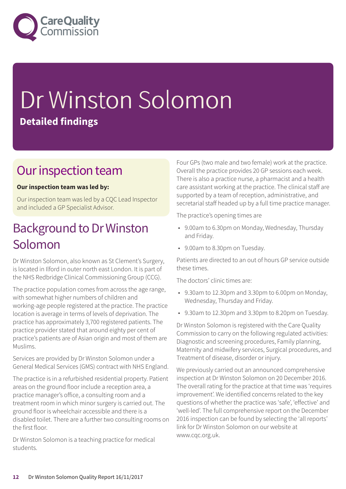

# Dr Winston Solomon **Detailed findings**

### Our inspection team

### **Our inspection team was led by:**

Our inspection team was led by a CQC Lead Inspector and included a GP Specialist Advisor.

### Background to Dr Winston Solomon

Dr Winston Solomon, also known as St Clement's Surgery, is located in Ilford in outer north east London. It is part of the NHS Redbridge Clinical Commissioning Group (CCG).

The practice population comes from across the age range, with somewhat higher numbers of children and working-age people registered at the practice. The practice location is average in terms of levels of deprivation. The practice has approximately 3,700 registered patients. The practice provider stated that around eighty per cent of practice's patients are of Asian origin and most of them are Muslims.

Services are provided by Dr Winston Solomon under a General Medical Services (GMS) contract with NHS England.

The practice is in a refurbished residential property. Patient areas on the ground floor include a reception area, a practice manager's office, a consulting room and a treatment room in which minor surgery is carried out. The ground floor is wheelchair accessible and there is a disabled toilet. There are a further two consulting rooms on the first floor.

Dr Winston Solomon is a teaching practice for medical students.

Four GPs (two male and two female) work at the practice. Overall the practice provides 20 GP sessions each week. There is also a practice nurse, a pharmacist and a health care assistant working at the practice. The clinical staff are supported by a team of reception, administrative, and secretarial staff headed up by a full time practice manager.

The practice's opening times are

- 9.00am to 6.30pm on Monday, Wednesday, Thursday and Friday.
- 9.00am to 8.30pm on Tuesday.

Patients are directed to an out of hours GP service outside these times.

The doctors' clinic times are:

- 9.30am to 12.30pm and 3.30pm to 6.00pm on Monday, Wednesday, Thursday and Friday.
- 9.30am to 12.30pm and 3.30pm to 8.20pm on Tuesday.

Dr Winston Solomon is registered with the Care Quality Commission to carry on the following regulated activities: Diagnostic and screening procedures, Family planning, Maternity and midwifery services, Surgical procedures, and Treatment of disease, disorder or injury.

We previously carried out an announced comprehensive inspection at Dr Winston Solomon on 20 December 2016. The overall rating for the practice at that time was 'requires improvement'. We identified concerns related to the key questions of whether the practice was 'safe', 'effective' and 'well-led'. The full comprehensive report on the December 2016 inspection can be found by selecting the 'all reports' link for Dr Winston Solomon on our website at www.cqc.org.uk.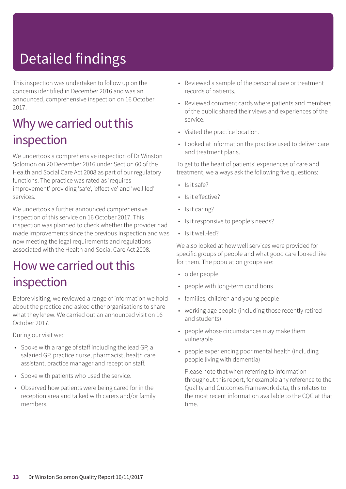# Detailed findings

This inspection was undertaken to follow up on the concerns identified in December 2016 and was an announced, comprehensive inspection on 16 October 2017.

### Why we carried out this inspection

We undertook a comprehensive inspection of Dr Winston Solomon on 20 December 2016 under Section 60 of the Health and Social Care Act 2008 as part of our regulatory functions. The practice was rated as 'requires improvement' providing 'safe', 'effective' and 'well led' services.

We undertook a further announced comprehensive inspection of this service on 16 October 2017. This inspection was planned to check whether the provider had made improvements since the previous inspection and was now meeting the legal requirements and regulations associated with the Health and Social Care Act 2008.

### How we carried out this inspection

Before visiting, we reviewed a range of information we hold about the practice and asked other organisations to share what they knew. We carried out an announced visit on 16 October 2017.

During our visit we:

- Spoke with a range of staff including the lead GP, a salaried GP, practice nurse, pharmacist, health care assistant, practice manager and reception staff.
- Spoke with patients who used the service.
- Observed how patients were being cared for in the reception area and talked with carers and/or family members.
- Reviewed a sample of the personal care or treatment records of patients.
- Reviewed comment cards where patients and members of the public shared their views and experiences of the service.
- Visited the practice location.
- Looked at information the practice used to deliver care and treatment plans.

To get to the heart of patients' experiences of care and treatment, we always ask the following five questions:

- $\cdot$  Is it safe?
- Is it effective?
- Is it caring?
- Is it responsive to people's needs?
- Is it well-led?

We also looked at how well services were provided for specific groups of people and what good care looked like for them. The population groups are:

- older people
- people with long-term conditions
- families, children and young people
- working age people (including those recently retired and students)
- people whose circumstances may make them vulnerable
- people experiencing poor mental health (including people living with dementia)

Please note that when referring to information throughout this report, for example any reference to the Quality and Outcomes Framework data, this relates to the most recent information available to the CQC at that time.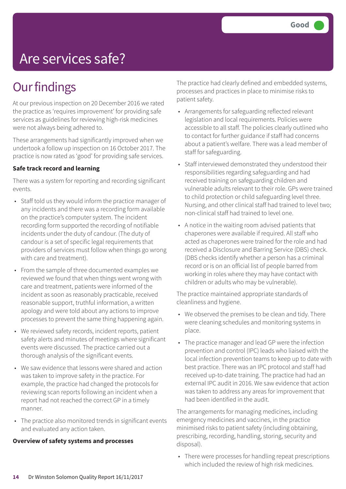## Are services safe?

### **Our findings**

At our previous inspection on 20 December 2016 we rated the practice as 'requires improvement' for providing safe services as guidelines for reviewing high-risk medicines were not always being adhered to.

These arrangements had significantly improved when we undertook a follow up inspection on 16 October 2017. The practice is now rated as 'good' for providing safe services.

### **Safe track record and learning**

There was a system for reporting and recording significant events.

- Staff told us they would inform the practice manager of any incidents and there was a recording form available on the practice's computer system. The incident recording form supported the recording of notifiable incidents under the duty of candour. (The duty of candour is a set of specific legal requirements that providers of services must follow when things go wrong with care and treatment).
- From the sample of three documented examples we reviewed we found that when things went wrong with care and treatment, patients were informed of the incident as soon as reasonably practicable, received reasonable support, truthful information, a written apology and were told about any actions to improve processes to prevent the same thing happening again.
- We reviewed safety records, incident reports, patient safety alerts and minutes of meetings where significant events were discussed. The practice carried out a thorough analysis of the significant events.
- We saw evidence that lessons were shared and action was taken to improve safety in the practice. For example, the practice had changed the protocols for reviewing scan reports following an incident when a report had not reached the correct GP in a timely manner.
- The practice also monitored trends in significant events and evaluated any action taken.

#### **Overview of safety systems and processes**

The practice had clearly defined and embedded systems, processes and practices in place to minimise risks to patient safety.

- Arrangements for safeguarding reflected relevant legislation and local requirements. Policies were accessible to all staff. The policies clearly outlined who to contact for further guidance if staff had concerns about a patient's welfare. There was a lead member of staff for safeguarding.
- Staff interviewed demonstrated they understood their responsibilities regarding safeguarding and had received training on safeguarding children and vulnerable adults relevant to their role. GPs were trained to child protection or child safeguarding level three. Nursing, and other clinical staff had trained to level two; non-clinical staff had trained to level one.
- A notice in the waiting room advised patients that chaperones were available if required. All staff who acted as chaperones were trained for the role and had received a Disclosure and Barring Service (DBS) check. (DBS checks identify whether a person has a criminal record or is on an official list of people barred from working in roles where they may have contact with children or adults who may be vulnerable).

The practice maintained appropriate standards of cleanliness and hygiene.

- We observed the premises to be clean and tidy. There were cleaning schedules and monitoring systems in place.
- The practice manager and lead GP were the infection prevention and control (IPC) leads who liaised with the local infection prevention teams to keep up to date with best practice. There was an IPC protocol and staff had received up-to-date training. The practice had had an external IPC audit in 2016. We saw evidence that action was taken to address any areas for improvement that had been identified in the audit.

The arrangements for managing medicines, including emergency medicines and vaccines, in the practice minimised risks to patient safety (including obtaining, prescribing, recording, handling, storing, security and disposal).

• There were processes for handling repeat prescriptions which included the review of high risk medicines.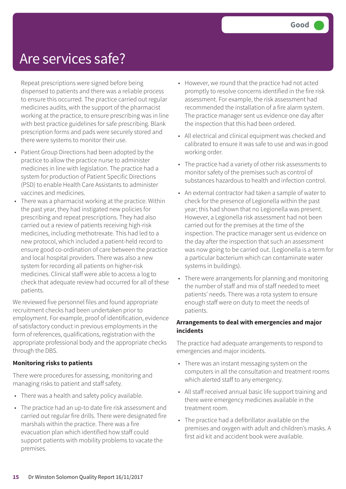### Are services safe?

Repeat prescriptions were signed before being dispensed to patients and there was a reliable process to ensure this occurred. The practice carried out regular medicines audits, with the support of the pharmacist working at the practice, to ensure prescribing was in line with best practice guidelines for safe prescribing. Blank prescription forms and pads were securely stored and there were systems to monitor their use.

- Patient Group Directions had been adopted by the practice to allow the practice nurse to administer medicines in line with legislation. The practice had a system for production of Patient Specific Directions (PSD) to enable Health Care Assistants to administer vaccines and medicines.
- There was a pharmacist working at the practice. Within the past year, they had instigated new policies for prescribing and repeat prescriptions. They had also carried out a review of patients receiving high-risk medicines, including methotrexate. This had led to a new protocol, which included a patient-held record to ensure good co-ordination of care between the practice and local hospital providers. There was also a new system for recording all patients on higher-risk medicines. Clinical staff were able to access a log to check that adequate review had occurred for all of these patients.

We reviewed five personnel files and found appropriate recruitment checks had been undertaken prior to employment. For example, proof of identification, evidence of satisfactory conduct in previous employments in the form of references, qualifications, registration with the appropriate professional body and the appropriate checks through the DBS.

### **Monitoring risks to patients**

There were procedures for assessing, monitoring and managing risks to patient and staff safety.

- There was a health and safety policy available.
- The practice had an up-to date fire risk assessment and carried out regular fire drills. There were designated fire marshals within the practice. There was a fire evacuation plan which identified how staff could support patients with mobility problems to vacate the premises.
- However, we round that the practice had not acted promptly to resolve concerns identified in the fire risk assessment. For example, the risk assessment had recommended the installation of a fire alarm system. The practice manager sent us evidence one day after the inspection that this had been ordered.
- All electrical and clinical equipment was checked and calibrated to ensure it was safe to use and was in good working order.
- The practice had a variety of other risk assessments to monitor safety of the premises such as control of substances hazardous to health and infection control.
- An external contractor had taken a sample of water to check for the presence of Legionella within the past year; this had shown that no Legionella was present. However, a Legionella risk assessment had not been carried out for the premises at the time of the inspection. The practice manager sent us evidence on the day after the inspection that such an assessment was now going to be carried out. (Legionella is a term for a particular bacterium which can contaminate water systems in buildings).
- There were arrangements for planning and monitoring the number of staff and mix of staff needed to meet patients' needs. There was a rota system to ensure enough staff were on duty to meet the needs of patients.

### **Arrangements to deal with emergencies and major incidents**

The practice had adequate arrangements to respond to emergencies and major incidents.

- There was an instant messaging system on the computers in all the consultation and treatment rooms which alerted staff to any emergency.
- All staff received annual basic life support training and there were emergency medicines available in the treatment room.
- The practice had a defibrillator available on the premises and oxygen with adult and children's masks. A first aid kit and accident book were available.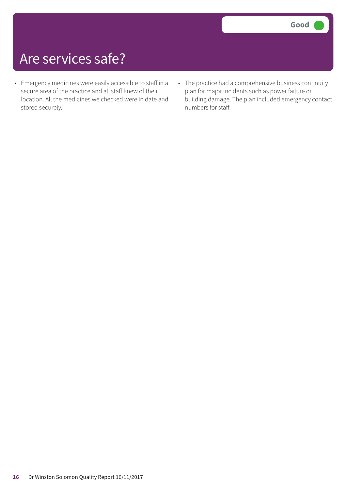## Are services safe?

- Emergency medicines were easily accessible to staff in a secure area of the practice and all staff knew of their location. All the medicines we checked were in date and stored securely.
- The practice had a comprehensive business continuity plan for major incidents such as power failure or building damage. The plan included emergency contact numbers for staff.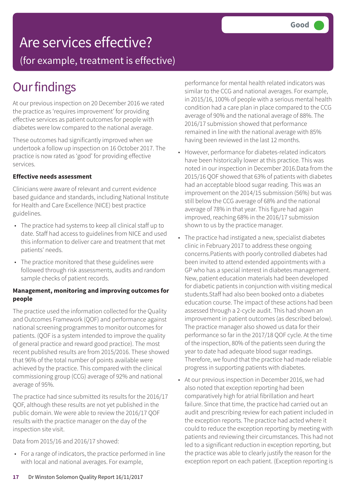## Are services effective?

(for example, treatment is effective)

## **Our findings**

At our previous inspection on 20 December 2016 we rated the practice as 'requires improvement' for providing effective services as patient outcomes for people with diabetes were low compared to the national average.

These outcomes had significantly improved when we undertook a follow up inspection on 16 October 2017. The practice is now rated as 'good' for providing effective services.

### **Effective needs assessment**

Clinicians were aware of relevant and current evidence based guidance and standards, including National Institute for Health and Care Excellence (NICE) best practice guidelines.

- The practice had systems to keep all clinical staff up to date. Staff had access to guidelines from NICE and used this information to deliver care and treatment that met patients' needs.
- The practice monitored that these guidelines were followed through risk assessments, audits and random sample checks of patient records.

### **Management, monitoring and improving outcomes for people**

The practice used the information collected for the Quality and Outcomes Framework (QOF) and performance against national screening programmes to monitor outcomes for patients. (QOF is a system intended to improve the quality of general practice and reward good practice). The most recent published results are from 2015/2016. These showed that 96% of the total number of points available were achieved by the practice. This compared with the clinical commissioning group (CCG) average of 92% and national average of 95%.

The practice had since submitted its results for the 2016/17 QOF, although these results are not yet published in the public domain. We were able to review the 2016/17 QOF results with the practice manager on the day of the inspection site visit.

Data from 2015/16 and 2016/17 showed:

• For a range of indicators, the practice performed in line with local and national averages. For example,

performance for mental health related indicators was similar to the CCG and national averages. For example, in 2015/16, 100% of people with a serious mental health condition had a care plan in place compared to the CCG average of 90% and the national average of 88%. The 2016/17 submission showed that performance remained in line with the national average with 85% having been reviewed in the last 12 months.

- However, performance for diabetes-related indicators have been historically lower at this practice. This was noted in our inspection in December 2016.Data from the 2015/16 QOF showed that 63% of patients with diabetes had an acceptable blood sugar reading. This was an improvement on the 2014/15 submission (56%) but was still below the CCG average of 68% and the national average of 78% in that year. This figure had again improved, reaching 68% in the 2016/17 submission shown to us by the practice manager.
- The practice had instigated a new, specialist diabetes clinic in February 2017 to address these ongoing concerns.Patients with poorly controlled diabetes had been invited to attend extended appointments with a GP who has a special interest in diabetes management. New, patient education materials had been developed for diabetic patients in conjunction with visiting medical students.Staff had also been booked onto a diabetes education course. The impact of these actions had been assessed through a 2-cycle audit. This had shown an improvement in patient outcomes (as described below). The practice manager also showed us data for their performance so far in the 2017/18 QOF cycle. At the time of the inspection, 80% of the patients seen during the year to date had adequate blood sugar readings. Therefore, we found that the practice had made reliable progress in supporting patients with diabetes.
- At our previous inspection in December 2016, we had also noted that exception reporting had been comparatively high for atrial fibrillation and heart failure. Since that time, the practice had carried out an audit and prescribing review for each patient included in the exception reports. The practice had acted where it could to reduce the exception reporting by meeting with patients and reviewing their circumstances. This had not led to a significant reduction in exception reporting, but the practice was able to clearly justify the reason for the exception report on each patient. (Exception reporting is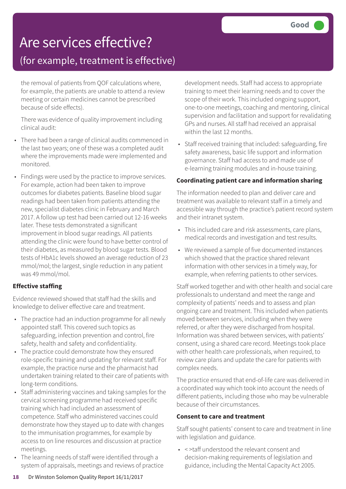## Are services effective?

### (for example, treatment is effective)

the removal of patients from QOF calculations where, for example, the patients are unable to attend a review meeting or certain medicines cannot be prescribed because of side effects).

There was evidence of quality improvement including clinical audit:

- There had been a range of clinical audits commenced in the last two years; one of these was a completed audit where the improvements made were implemented and monitored.
- Findings were used by the practice to improve services. For example, action had been taken to improve outcomes for diabetes patients. Baseline blood sugar readings had been taken from patients attending the new, specialist diabetes clinic in February and March 2017. A follow up test had been carried out 12-16 weeks later. These tests demonstrated a significant improvement in blood sugar readings. All patients attending the clinic were found to have better control of their diabetes, as measured by blood sugar tests. Blood tests of HbA1c levels showed an average reduction of 23 mmol/mol; the largest, single reduction in any patient was 49 mmol/mol.

### **Effective staffing**

Evidence reviewed showed that staff had the skills and knowledge to deliver effective care and treatment.

- The practice had an induction programme for all newly appointed staff. This covered such topics as safeguarding, infection prevention and control, fire safety, health and safety and confidentiality.
- The practice could demonstrate how they ensured role-specific training and updating for relevant staff. For example, the practice nurse and the pharmacist had undertaken training related to their care of patients with long-term conditions.
- Staff administering vaccines and taking samples for the cervical screening programme had received specific training which had included an assessment of competence. Staff who administered vaccines could demonstrate how they stayed up to date with changes to the immunisation programmes, for example by access to on line resources and discussion at practice meetings.
- The learning needs of staff were identified through a system of appraisals, meetings and reviews of practice

development needs. Staff had access to appropriate training to meet their learning needs and to cover the scope of their work. This included ongoing support, one-to-one meetings, coaching and mentoring, clinical supervision and facilitation and support for revalidating GPs and nurses. All staff had received an appraisal within the last 12 months.

• Staff received training that included: safeguarding, fire safety awareness, basic life support and information governance. Staff had access to and made use of e-learning training modules and in-house training.

### **Coordinating patient care and information sharing**

The information needed to plan and deliver care and treatment was available to relevant staff in a timely and accessible way through the practice's patient record system and their intranet system.

- This included care and risk assessments, care plans, medical records and investigation and test results.
- We reviewed a sample of five documented instances which showed that the practice shared relevant information with other services in a timely way, for example, when referring patients to other services.

Staff worked together and with other health and social care professionals to understand and meet the range and complexity of patients' needs and to assess and plan ongoing care and treatment. This included when patients moved between services, including when they were referred, or after they were discharged from hospital. Information was shared between services, with patients' consent, using a shared care record. Meetings took place with other health care professionals, when required, to review care plans and update the care for patients with complex needs.

The practice ensured that end-of-life care was delivered in a coordinated way which took into account the needs of different patients, including those who may be vulnerable because of their circumstances.

### **Consent to care and treatment**

Staff sought patients' consent to care and treatment in line with legislation and guidance.

• < >taff understood the relevant consent and decision-making requirements of legislation and guidance, including the Mental Capacity Act 2005.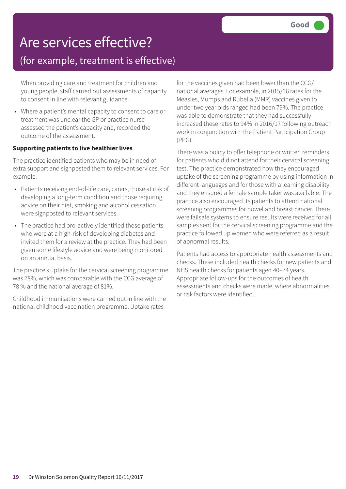## Are services effective?

### (for example, treatment is effective)

When providing care and treatment for children and young people, staff carried out assessments of capacity to consent in line with relevant guidance.

• Where a patient's mental capacity to consent to care or treatment was unclear the GP or practice nurse assessed the patient's capacity and, recorded the outcome of the assessment.

### **Supporting patients to live healthier lives**

The practice identified patients who may be in need of extra support and signposted them to relevant services. For example:

- Patients receiving end-of-life care, carers, those at risk of developing a long-term condition and those requiring advice on their diet, smoking and alcohol cessation were signposted to relevant services.
- The practice had pro-actively identified those patients who were at a high-risk of developing diabetes and invited them for a review at the practice. They had been given some lifestyle advice and were being monitored on an annual basis.

The practice's uptake for the cervical screening programme was 78%, which was comparable with the CCG average of 78 % and the national average of 81%.

Childhood immunisations were carried out in line with the national childhood vaccination programme. Uptake rates

for the vaccines given had been lower than the CCG/ national averages. For example, in 2015/16 rates for the Measles, Mumps and Rubella (MMR) vaccines given to under two year olds ranged had been 79%. The practice was able to demonstrate that they had successfully increased these rates to 94% in 2016/17 following outreach work in conjunction with the Patient Participation Group (PPG).

There was a policy to offer telephone or written reminders for patients who did not attend for their cervical screening test. The practice demonstrated how they encouraged uptake of the screening programme by using information in different languages and for those with a learning disability and they ensured a female sample taker was available. The practice also encouraged its patients to attend national screening programmes for bowel and breast cancer. There were failsafe systems to ensure results were received for all samples sent for the cervical screening programme and the practice followed up women who were referred as a result of abnormal results.

Patients had access to appropriate health assessments and checks. These included health checks for new patients and NHS health checks for patients aged 40–74 years. Appropriate follow-ups for the outcomes of health assessments and checks were made, where abnormalities or risk factors were identified.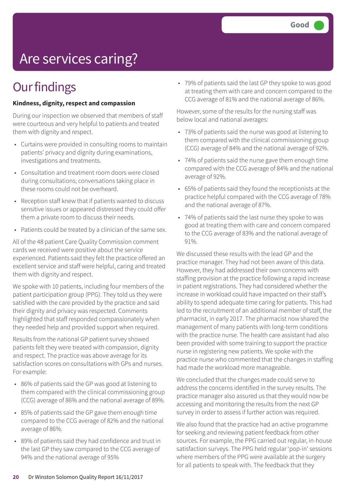# Are services caring?

## **Our findings**

#### **Kindness, dignity, respect and compassion**

During our inspection we observed that members of staff were courteous and very helpful to patients and treated them with dignity and respect.

- Curtains were provided in consulting rooms to maintain patients' privacy and dignity during examinations, investigations and treatments.
- Consultation and treatment room doors were closed during consultations; conversations taking place in these rooms could not be overheard.
- Reception staff knew that if patients wanted to discuss sensitive issues or appeared distressed they could offer them a private room to discuss their needs.
- Patients could be treated by a clinician of the same sex.

All of the 48 patient Care Quality Commission comment cards we received were positive about the service experienced. Patients said they felt the practice offered an excellent service and staff were helpful, caring and treated them with dignity and respect.

We spoke with 10 patients, including four members of the patient participation group (PPG). They told us they were satisfied with the care provided by the practice and said their dignity and privacy was respected. Comments highlighted that staff responded compassionately when they needed help and provided support when required.

Results from the national GP patient survey showed patients felt they were treated with compassion, dignity and respect. The practice was above average for its satisfaction scores on consultations with GPs and nurses. For example:

- 86% of patients said the GP was good at listening to them compared with the clinical commissioning group (CCG) average of 86% and the national average of 89%.
- 85% of patients said the GP gave them enough time compared to the CCG average of 82% and the national average of 86%.
- 89% of patients said they had confidence and trust in the last GP they saw compared to the CCG average of 94% and the national average of 95%

• 79% of patients said the last GP they spoke to was good at treating them with care and concern compared to the CCG average of 81% and the national average of 86%.

However, some of the results for the nursing staff was below local and national averages:

- 73% of patients said the nurse was good at listening to them compared with the clinical commissioning group (CCG) average of 84% and the national average of 92%.
- 74% of patients said the nurse gave them enough time compared with the CCG average of 84% and the national average of 92%.
- 65% of patients said they found the receptionists at the practice helpful compared with the CCG average of 78% and the national average of 87%.
- 74% of patients said the last nurse they spoke to was good at treating them with care and concern compared to the CCG average of 83% and the national average of 91%.

We discussed these results with the lead GP and the practice manager. They had not been aware of this data. However, they had addressed their own concerns with staffing provision at the practice following a rapid increase in patient registrations. They had considered whether the increase in workload could have impacted on their staff's ability to spend adequate time caring for patients. This had led to the recruitment of an additional member of staff, the pharmacist, in early 2017. The pharmacist now shared the management of many patients with long-term conditions with the practice nurse. The health care assistant had also been provided with some training to support the practice nurse in registering new patients. We spoke with the practice nurse who commented that the changes in staffing had made the workload more manageable.

We concluded that the changes made could serve to address the concerns identified in the survey results. The practice manager also assured us that they would now be accessing and monitoring the results from the next GP survey in order to assess if further action was required.

We also found that the practice had an active programme for seeking and reviewing patient feedback from other sources. For example, the PPG carried out regular, in-house satisfaction surveys. The PPG held regular 'pop-in' sessions where members of the PPG were available at the surgery for all patients to speak with. The feedback that they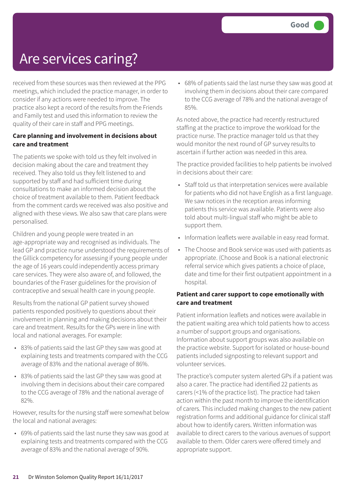## Are services caring?

received from these sources was then reviewed at the PPG meetings, which included the practice manager, in order to consider if any actions were needed to improve. The practice also kept a record of the results from the Friends and Family test and used this information to review the quality of their care in staff and PPG meetings.

### **Care planning and involvement in decisions about care and treatment**

The patients we spoke with told us they felt involved in decision making about the care and treatment they received. They also told us they felt listened to and supported by staff and had sufficient time during consultations to make an informed decision about the choice of treatment available to them. Patient feedback from the comment cards we received was also positive and aligned with these views. We also saw that care plans were personalised.

Children and young people were treated in an age-appropriate way and recognised as individuals. The lead GP and practice nurse understood the requirements of the Gillick competency for assessing if young people under the age of 16 years could independently access primary care services. They were also aware of, and followed, the boundaries of the Fraser guidelines for the provision of contraceptive and sexual health care in young people.

Results from the national GP patient survey showed patients responded positively to questions about their involvement in planning and making decisions about their care and treatment. Results for the GPs were in line with local and national averages. For example:

- 83% of patients said the last GP they saw was good at explaining tests and treatments compared with the CCG average of 83% and the national average of 86%.
- 83% of patients said the last GP they saw was good at involving them in decisions about their care compared to the CCG average of 78% and the national average of 82%.

However, results for the nursing staff were somewhat below the local and national averages:

• 69% of patients said the last nurse they saw was good at explaining tests and treatments compared with the CCG average of 83% and the national average of 90%.

• 68% of patients said the last nurse they saw was good at involving them in decisions about their care compared to the CCG average of 78% and the national average of 85%.

As noted above, the practice had recently restructured staffing at the practice to improve the workload for the practice nurse. The practice manager told us that they would monitor the next round of GP survey results to ascertain if further action was needed in this area.

The practice provided facilities to help patients be involved in decisions about their care:

- Staff told us that interpretation services were available for patients who did not have English as a first language. We saw notices in the reception areas informing patients this service was available. Patients were also told about multi-lingual staff who might be able to support them.
- Information leaflets were available in easy read format.
- The Choose and Book service was used with patients as appropriate. (Choose and Book is a national electronic referral service which gives patients a choice of place, date and time for their first outpatient appointment in a hospital.

### **Patient and carer support to cope emotionally with care and treatment**

Patient information leaflets and notices were available in the patient waiting area which told patients how to access a number of support groups and organisations. Information about support groups was also available on the practice website. Support for isolated or house-bound patients included signposting to relevant support and volunteer services.

The practice's computer system alerted GPs if a patient was also a carer. The practice had identified 22 patients as carers (<1% of the practice list). The practice had taken action within the past month to improve the identification of carers. This included making changes to the new patient registration forms and additional guidance for clinical staff about how to identify carers. Written information was available to direct carers to the various avenues of support available to them. Older carers were offered timely and appropriate support.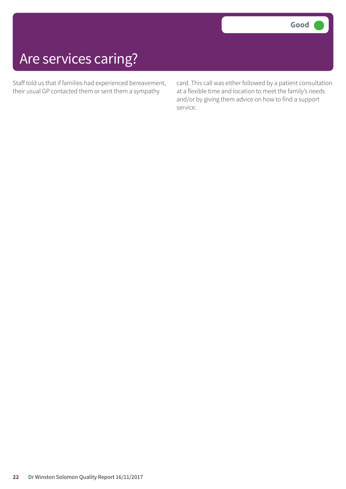## Are services caring?

Staff told us that if families had experienced bereavement, their usual GP contacted them or sent them a sympathy

card. This call was either followed by a patient consultation at a flexible time and location to meet the family's needs and/or by giving them advice on how to find a support service.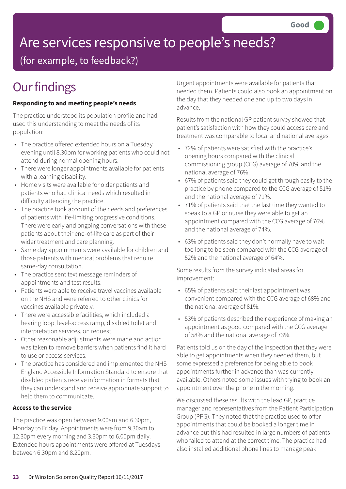# Are services responsive to people's needs?

(for example, to feedback?)

## **Our findings**

### **Responding to and meeting people's needs**

The practice understood its population profile and had used this understanding to meet the needs of its population:

- The practice offered extended hours on a Tuesday evening until 8.30pm for working patients who could not attend during normal opening hours.
- There were longer appointments available for patients with a learning disability.
- Home visits were available for older patients and patients who had clinical needs which resulted in difficulty attending the practice.
- The practice took account of the needs and preferences of patients with life-limiting progressive conditions. There were early and ongoing conversations with these patients about their end-of-life care as part of their wider treatment and care planning.
- Same day appointments were available for children and those patients with medical problems that require same-day consultation.
- The practice sent text message reminders of appointments and test results.
- Patients were able to receive travel vaccines available on the NHS and were referred to other clinics for vaccines available privately.
- There were accessible facilities, which included a hearing loop, level-access ramp, disabled toilet and interpretation services, on request.
- Other reasonable adjustments were made and action was taken to remove barriers when patients find it hard to use or access services.
- The practice has considered and implemented the NHS England Accessible Information Standard to ensure that disabled patients receive information in formats that they can understand and receive appropriate support to help them to communicate.

### **Access to the service**

The practice was open between 9.00am and 6.30pm, Monday to Friday. Appointments were from 9.30am to 12.30pm every morning and 3.30pm to 6.00pm daily. Extended hours appointments were offered at Tuesdays between 6.30pm and 8.20pm.

Urgent appointments were available for patients that needed them. Patients could also book an appointment on the day that they needed one and up to two days in advance.

Results from the national GP patient survey showed that patient's satisfaction with how they could access care and treatment was comparable to local and national averages.

- 72% of patients were satisfied with the practice's opening hours compared with the clinical commissioning group (CCG) average of 70% and the national average of 76%.
- 67% of patients said they could get through easily to the practice by phone compared to the CCG average of 51% and the national average of 71%.
- 71% of patients said that the last time they wanted to speak to a GP or nurse they were able to get an appointment compared with the CCG average of 76% and the national average of 74%.
- 63% of patients said they don't normally have to wait too long to be seen compared with the CCG average of 52% and the national average of 64%.

Some results from the survey indicated areas for improvement:

- 65% of patients said their last appointment was convenient compared with the CCG average of 68% and the national average of 81%.
- 53% of patients described their experience of making an appointment as good compared with the CCG average of 58% and the national average of 73%.

Patients told us on the day of the inspection that they were able to get appointments when they needed them, but some expressed a preference for being able to book appointments further in advance than was currently available. Others noted some issues with trying to book an appointment over the phone in the morning.

We discussed these results with the lead GP, practice manager and representatives from the Patient Participation Group (PPG). They noted that the practice used to offer appointments that could be booked a longer time in advance but this had resulted in large numbers of patients who failed to attend at the correct time. The practice had also installed additional phone lines to manage peak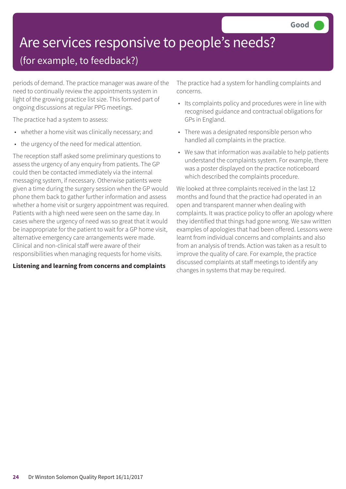# Are services responsive to people's needs?

### (for example, to feedback?)

periods of demand. The practice manager was aware of the need to continually review the appointments system in light of the growing practice list size. This formed part of ongoing discussions at regular PPG meetings.

The practice had a system to assess:

- whether a home visit was clinically necessary; and
- the urgency of the need for medical attention.

The reception staff asked some preliminary questions to assess the urgency of any enquiry from patients. The GP could then be contacted immediately via the internal messaging system, if necessary. Otherwise patients were given a time during the surgery session when the GP would phone them back to gather further information and assess whether a home visit or surgery appointment was required. Patients with a high need were seen on the same day. In cases where the urgency of need was so great that it would be inappropriate for the patient to wait for a GP home visit, alternative emergency care arrangements were made. Clinical and non-clinical staff were aware of their responsibilities when managing requests for home visits.

### **Listening and learning from concerns and complaints**

The practice had a system for handling complaints and concerns.

- Its complaints policy and procedures were in line with recognised guidance and contractual obligations for GPs in England.
- There was a designated responsible person who handled all complaints in the practice.
- We saw that information was available to help patients understand the complaints system. For example, there was a poster displayed on the practice noticeboard which described the complaints procedure.

We looked at three complaints received in the last 12 months and found that the practice had operated in an open and transparent manner when dealing with complaints. It was practice policy to offer an apology where they identified that things had gone wrong. We saw written examples of apologies that had been offered. Lessons were learnt from individual concerns and complaints and also from an analysis of trends. Action was taken as a result to improve the quality of care. For example, the practice discussed complaints at staff meetings to identify any changes in systems that may be required.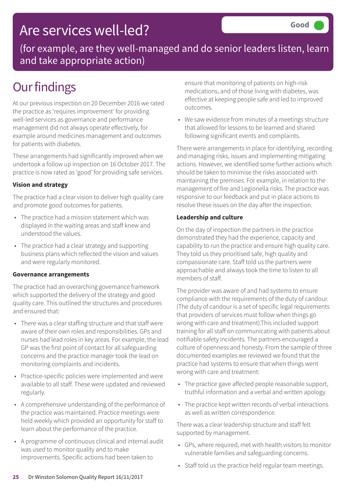### Are services well-led?

(for example, are they well-managed and do senior leaders listen, learn and take appropriate action)

## **Our findings**

At our previous inspection on 20 December 2016 we rated the practice as 'requires improvement' for providing well-led services as governance and performance management did not always operate effectively, for example around medicines management and outcomes for patients with diabetes.

These arrangements had significantly improved when we undertook a follow up inspection on 16 October 2017. The practice is now rated as 'good' for providing safe services.

### **Vision and strategy**

The practice had a clear vision to deliver high quality care and promote good outcomes for patients.

- The practice had a mission statement which was displayed in the waiting areas and staff knew and understood the values.
- The practice had a clear strategy and supporting business plans which reflected the vision and values and were regularly monitored.

### **Governance arrangements**

The practice had an overarching governance framework which supported the delivery of the strategy and good quality care. This outlined the structures and procedures and ensured that:

- There was a clear staffing structure and that staff were aware of their own roles and responsibilities. GPs and nurses had lead roles in key areas. For example, the lead GP was the first point of contact for all safeguarding concerns and the practice manager took the lead on monitoring complaints and incidents.
- Practice-specific policies were implemented and were available to all staff. These were updated and reviewed regularly.
- A comprehensive understanding of the performance of the practice was maintained. Practice meetings were held weekly which provided an opportunity for staff to learn about the performance of the practice.
- A programme of continuous clinical and internal audit was used to monitor quality and to make improvements. Specific actions had been taken to

ensure that monitoring of patients on high-risk medications, and of those living with diabetes, was effective at keeping people safe and led to improved outcomes.

• We saw evidence from minutes of a meetings structure that allowed for lessons to be learned and shared following significant events and complaints.

There were arrangements in place for identifying, recording and managing risks, issues and implementing mitigating actions. However, we identified some further actions which should be taken to minimise the risks associated with maintaining the premises. For example, in relation to the management of fire and Legionella risks. The practice was responsive to our feedback and put in place actions to resolve these issues on the day after the inspection.

### **Leadership and culture**

On the day of inspection the partners in the practice demonstrated they had the experience, capacity and capability to run the practice and ensure high quality care. They told us they prioritised safe, high quality and compassionate care. Staff told us the partners were approachable and always took the time to listen to all members of staff.

The provider was aware of and had systems to ensure compliance with the requirements of the duty of candour. (The duty of candour is a set of specific legal requirements that providers of services must follow when things go wrong with care and treatment).This included support training for all staff on communicating with patients about notifiable safety incidents. The partners encouraged a culture of openness and honesty. From the sample of three documented examples we reviewed we found that the practice had systems to ensure that when things went wrong with care and treatment:

- The practice gave affected people reasonable support, truthful information and a verbal and written apology.
- The practice kept written records of verbal interactions as well as written correspondence.

There was a clear leadership structure and staff felt supported by management.

- GPs, where required, met with health visitors to monitor vulnerable families and safeguarding concerns.
- Staff told us the practice held regular team meetings.